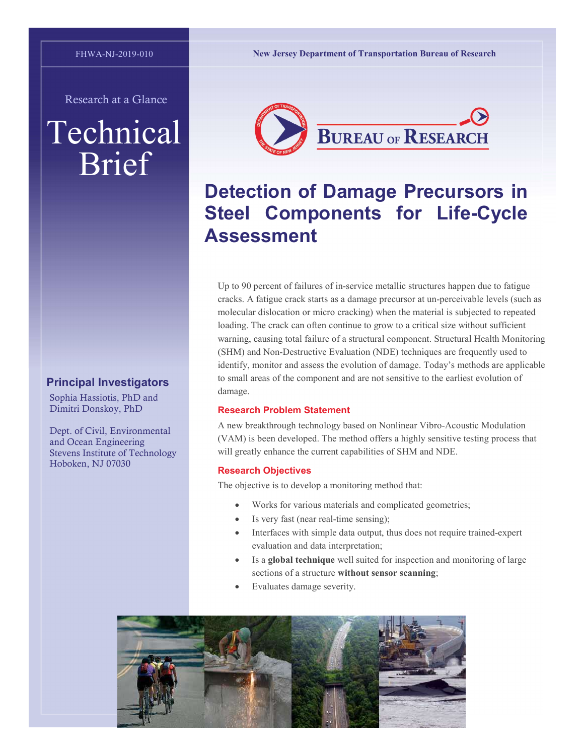Research at a Glance

# Technical Brief

## Principal Investigators

Sophia Hassiotis, PhD and Dimitri Donskoy, PhD

Dept. of Civil, Environmental and Ocean Engineering Stevens Institute of Technology Hoboken, NJ 07030

New Jersey Department of Transportation Bureau of Research



# Detection of Damage Precursors in Steel Components for Life-Cycle Assessment

Up to 90 percent of failures of in-service metallic structures happen due to fatigue cracks. A fatigue crack starts as a damage precursor at un-perceivable levels (such as molecular dislocation or micro cracking) when the material is subjected to repeated loading. The crack can often continue to grow to a critical size without sufficient warning, causing total failure of a structural component. Structural Health Monitoring (SHM) and Non-Destructive Evaluation (NDE) techniques are frequently used to identify, monitor and assess the evolution of damage. Today's methods are applicable to small areas of the component and are not sensitive to the earliest evolution of damage.

#### Research Problem Statement

A new breakthrough technology based on Nonlinear Vibro-Acoustic Modulation (VAM) is been developed. The method offers a highly sensitive testing process that will greatly enhance the current capabilities of SHM and NDE.

#### Research Objectives

The objective is to develop a monitoring method that:

- Works for various materials and complicated geometries;
- Is very fast (near real-time sensing);
- Interfaces with simple data output, thus does not require trained-expert evaluation and data interpretation;
- Is a global technique well suited for inspection and monitoring of large sections of a structure without sensor scanning;
- Evaluates damage severity.